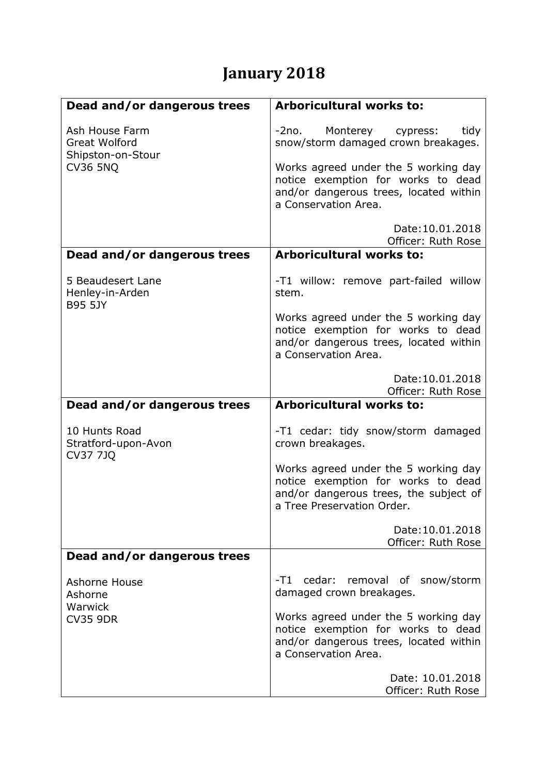## **January 2018**

| Dead and/or dangerous trees                                                    | Arboricultural works to:                                                                                                                           |
|--------------------------------------------------------------------------------|----------------------------------------------------------------------------------------------------------------------------------------------------|
| Ash House Farm<br><b>Great Wolford</b><br>Shipston-on-Stour<br><b>CV36 5NQ</b> | Monterey<br>-2no.<br>tidy<br>cypress:<br>snow/storm damaged crown breakages.                                                                       |
|                                                                                | Works agreed under the 5 working day<br>notice exemption for works to dead<br>and/or dangerous trees, located within<br>a Conservation Area.       |
|                                                                                | Date: 10.01.2018<br>Officer: Ruth Rose                                                                                                             |
| Dead and/or dangerous trees                                                    | <b>Arboricultural works to:</b>                                                                                                                    |
| 5 Beaudesert Lane<br>Henley-in-Arden<br><b>B95 5JY</b>                         | -T1 willow: remove part-failed willow<br>stem.                                                                                                     |
|                                                                                | Works agreed under the 5 working day<br>notice exemption for works to dead<br>and/or dangerous trees, located within<br>a Conservation Area.       |
|                                                                                | Date: 10.01.2018<br>Officer: Ruth Rose                                                                                                             |
| Dead and/or dangerous trees                                                    | <b>Arboricultural works to:</b>                                                                                                                    |
| 10 Hunts Road<br>Stratford-upon-Avon<br><b>CV37 7JQ</b>                        | -T1 cedar: tidy snow/storm damaged<br>crown breakages.                                                                                             |
|                                                                                | Works agreed under the 5 working day<br>notice exemption for works to dead<br>and/or dangerous trees, the subject of<br>a Tree Preservation Order. |
|                                                                                | Date: 10.01.2018<br>Officer: Ruth Rose                                                                                                             |
| Dead and/or dangerous trees                                                    |                                                                                                                                                    |
| Ashorne House<br>Ashorne<br>Warwick                                            | -T1 cedar: removal of snow/storm<br>damaged crown breakages.                                                                                       |
| <b>CV35 9DR</b>                                                                | Works agreed under the 5 working day<br>notice exemption for works to dead<br>and/or dangerous trees, located within<br>a Conservation Area.       |
|                                                                                | Date: 10.01.2018<br>Officer: Ruth Rose                                                                                                             |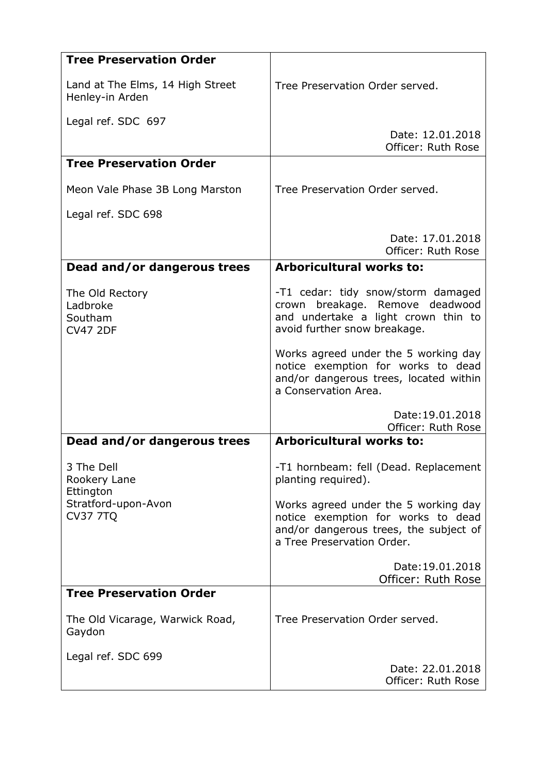| <b>Tree Preservation Order</b>                            |                                                                                                                                                    |
|-----------------------------------------------------------|----------------------------------------------------------------------------------------------------------------------------------------------------|
| Land at The Elms, 14 High Street<br>Henley-in Arden       | Tree Preservation Order served.                                                                                                                    |
| Legal ref. SDC 697                                        |                                                                                                                                                    |
|                                                           | Date: 12.01.2018<br>Officer: Ruth Rose                                                                                                             |
| <b>Tree Preservation Order</b>                            |                                                                                                                                                    |
| Meon Vale Phase 3B Long Marston                           | Tree Preservation Order served.                                                                                                                    |
| Legal ref. SDC 698                                        |                                                                                                                                                    |
|                                                           | Date: 17.01.2018<br>Officer: Ruth Rose                                                                                                             |
| Dead and/or dangerous trees                               | Arboricultural works to:                                                                                                                           |
| The Old Rectory<br>Ladbroke<br>Southam<br><b>CV47 2DF</b> | -T1 cedar: tidy snow/storm damaged<br>breakage. Remove<br>deadwood<br>crown<br>and undertake a light crown thin to<br>avoid further snow breakage. |
|                                                           | Works agreed under the 5 working day<br>notice exemption for works to dead<br>and/or dangerous trees, located within<br>a Conservation Area.       |
|                                                           | Date: 19.01.2018<br>Officer: Ruth Rose                                                                                                             |
| Dead and/or dangerous trees                               | <b>Arboricultural works to:</b>                                                                                                                    |
| 3 The Dell<br>Rookery Lane<br>Ettington                   | -T1 hornbeam: fell (Dead. Replacement<br>planting required).                                                                                       |
| Stratford-upon-Avon<br><b>CV37 7TQ</b>                    | Works agreed under the 5 working day<br>notice exemption for works to dead<br>and/or dangerous trees, the subject of<br>a Tree Preservation Order. |
|                                                           | Date: 19.01.2018<br>Officer: Ruth Rose                                                                                                             |
| <b>Tree Preservation Order</b>                            |                                                                                                                                                    |
| The Old Vicarage, Warwick Road,<br>Gaydon                 | Tree Preservation Order served.                                                                                                                    |
| Legal ref. SDC 699                                        |                                                                                                                                                    |
|                                                           | Date: 22.01.2018<br>Officer: Ruth Rose                                                                                                             |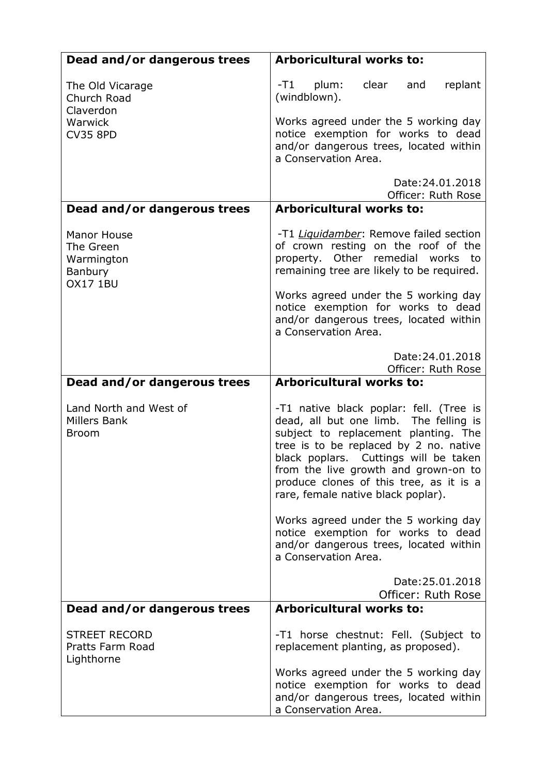| Dead and/or dangerous trees                                                 | <b>Arboricultural works to:</b>                                                                                                                                                                                                                                                                                                       |
|-----------------------------------------------------------------------------|---------------------------------------------------------------------------------------------------------------------------------------------------------------------------------------------------------------------------------------------------------------------------------------------------------------------------------------|
| The Old Vicarage<br>Church Road<br>Claverdon<br>Warwick<br><b>CV35 8PD</b>  | -T1<br>plum:<br>clear<br>and<br>replant<br>(windblown).                                                                                                                                                                                                                                                                               |
|                                                                             | Works agreed under the 5 working day<br>notice exemption for works to dead<br>and/or dangerous trees, located within<br>a Conservation Area.                                                                                                                                                                                          |
|                                                                             | Date: 24.01.2018<br>Officer: Ruth Rose                                                                                                                                                                                                                                                                                                |
| Dead and/or dangerous trees                                                 | <b>Arboricultural works to:</b>                                                                                                                                                                                                                                                                                                       |
| <b>Manor House</b><br>The Green<br>Warmington<br>Banbury<br><b>OX17 1BU</b> | -T1 <i>Liquidamber</i> : Remove failed section<br>of crown resting on the roof of the<br>property. Other remedial works to<br>remaining tree are likely to be required.                                                                                                                                                               |
|                                                                             | Works agreed under the 5 working day<br>notice exemption for works to dead<br>and/or dangerous trees, located within<br>a Conservation Area.                                                                                                                                                                                          |
|                                                                             | Date: 24.01.2018<br>Officer: Ruth Rose                                                                                                                                                                                                                                                                                                |
| Dead and/or dangerous trees                                                 | <b>Arboricultural works to:</b>                                                                                                                                                                                                                                                                                                       |
| Land North and West of<br>Millers Bank<br><b>Broom</b>                      | -T1 native black poplar: fell. (Tree is<br>dead, all but one limb. The felling is<br>subject to replacement planting. The<br>tree is to be replaced by 2 no. native<br>black poplars. Cuttings will be taken<br>from the live growth and grown-on to<br>produce clones of this tree, as it is a<br>rare, female native black poplar). |
|                                                                             | Works agreed under the 5 working day<br>notice exemption for works to dead<br>and/or dangerous trees, located within<br>a Conservation Area.                                                                                                                                                                                          |
|                                                                             | Date: 25.01.2018<br>Officer: Ruth Rose                                                                                                                                                                                                                                                                                                |
| Dead and/or dangerous trees                                                 | <b>Arboricultural works to:</b>                                                                                                                                                                                                                                                                                                       |
| <b>STREET RECORD</b><br>Pratts Farm Road<br>Lighthorne                      | -T1 horse chestnut: Fell. (Subject to<br>replacement planting, as proposed).                                                                                                                                                                                                                                                          |
|                                                                             | Works agreed under the 5 working day<br>notice exemption for works to dead<br>and/or dangerous trees, located within<br>a Conservation Area.                                                                                                                                                                                          |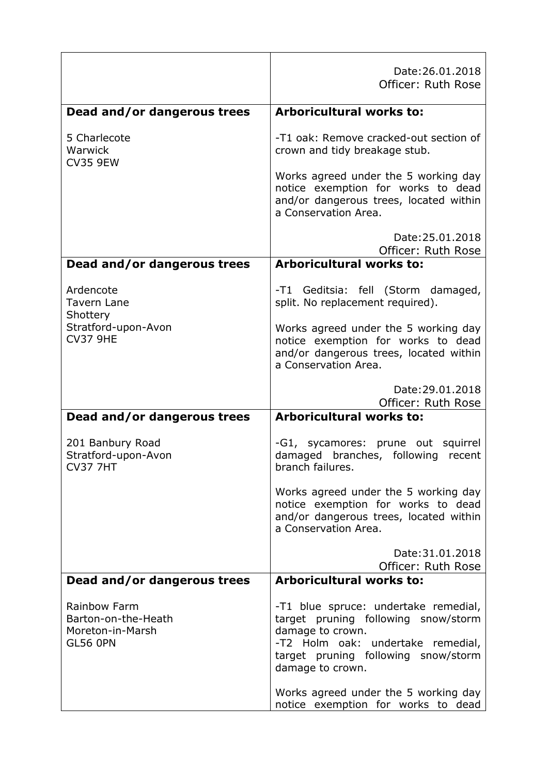|                                                                            | Date: 26.01.2018<br>Officer: Ruth Rose                                                                                                                                                          |
|----------------------------------------------------------------------------|-------------------------------------------------------------------------------------------------------------------------------------------------------------------------------------------------|
| Dead and/or dangerous trees                                                | <b>Arboricultural works to:</b>                                                                                                                                                                 |
| 5 Charlecote<br>Warwick<br><b>CV35 9EW</b>                                 | -T1 oak: Remove cracked-out section of<br>crown and tidy breakage stub.                                                                                                                         |
|                                                                            | Works agreed under the 5 working day<br>notice exemption for works to dead<br>and/or dangerous trees, located within<br>a Conservation Area.                                                    |
|                                                                            | Date: 25.01.2018<br>Officer: Ruth Rose                                                                                                                                                          |
| Dead and/or dangerous trees                                                | <b>Arboricultural works to:</b>                                                                                                                                                                 |
| Ardencote<br><b>Tavern Lane</b>                                            | -T1 Geditsia: fell (Storm damaged,<br>split. No replacement required).                                                                                                                          |
| Shottery<br>Stratford-upon-Avon<br><b>CV37 9HE</b>                         | Works agreed under the 5 working day<br>notice exemption for works to dead<br>and/or dangerous trees, located within<br>a Conservation Area.                                                    |
|                                                                            | Date: 29.01.2018<br>Officer: Ruth Rose                                                                                                                                                          |
| Dead and/or dangerous trees                                                | Arboricultural works to:                                                                                                                                                                        |
| 201 Banbury Road<br>Stratford-upon-Avon<br><b>CV37 7HT</b>                 | -G1, sycamores: prune out squirrel<br>damaged branches, following recent<br>branch failures.                                                                                                    |
|                                                                            | Works agreed under the 5 working day<br>notice exemption for works to dead<br>and/or dangerous trees, located within<br>a Conservation Area.                                                    |
|                                                                            | Date: 31.01.2018<br>Officer: Ruth Rose                                                                                                                                                          |
| Dead and/or dangerous trees                                                | <b>Arboricultural works to:</b>                                                                                                                                                                 |
| Rainbow Farm<br>Barton-on-the-Heath<br>Moreton-in-Marsh<br><b>GL56 0PN</b> | -T1 blue spruce: undertake remedial,<br>target pruning following snow/storm<br>damage to crown.<br>-T2 Holm oak: undertake remedial,<br>target pruning following snow/storm<br>damage to crown. |
|                                                                            | Works agreed under the 5 working day                                                                                                                                                            |